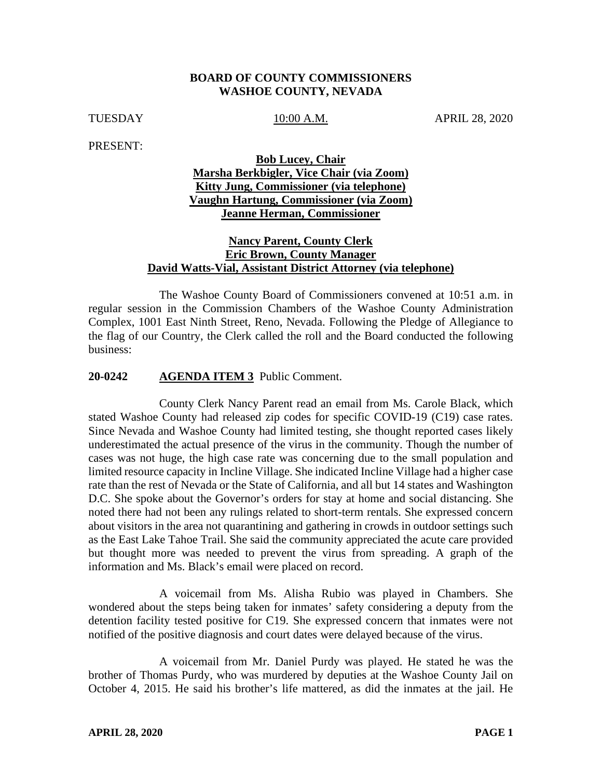#### **BOARD OF COUNTY COMMISSIONERS WASHOE COUNTY, NEVADA**

TUESDAY 10:00 A.M. APRIL 28, 2020

PRESENT:

# **Bob Lucey, Chair Marsha Berkbigler, Vice Chair (via Zoom) Kitty Jung, Commissioner (via telephone) Vaughn Hartung, Commissioner (via Zoom) Jeanne Herman, Commissioner**

## **Nancy Parent, County Clerk Eric Brown, County Manager David Watts-Vial, Assistant District Attorney (via telephone)**

The Washoe County Board of Commissioners convened at 10:51 a.m. in regular session in the Commission Chambers of the Washoe County Administration Complex, 1001 East Ninth Street, Reno, Nevada. Following the Pledge of Allegiance to the flag of our Country, the Clerk called the roll and the Board conducted the following business:

#### **20-0242 AGENDA ITEM 3** Public Comment.

County Clerk Nancy Parent read an email from Ms. Carole Black, which stated Washoe County had released zip codes for specific COVID-19 (C19) case rates. Since Nevada and Washoe County had limited testing, she thought reported cases likely underestimated the actual presence of the virus in the community. Though the number of cases was not huge, the high case rate was concerning due to the small population and limited resource capacity in Incline Village. She indicated Incline Village had a higher case rate than the rest of Nevada or the State of California, and all but 14 states and Washington D.C. She spoke about the Governor's orders for stay at home and social distancing. She noted there had not been any rulings related to short-term rentals. She expressed concern about visitors in the area not quarantining and gathering in crowds in outdoor settings such as the East Lake Tahoe Trail. She said the community appreciated the acute care provided but thought more was needed to prevent the virus from spreading. A graph of the information and Ms. Black's email were placed on record.

A voicemail from Ms. Alisha Rubio was played in Chambers. She wondered about the steps being taken for inmates' safety considering a deputy from the detention facility tested positive for C19. She expressed concern that inmates were not notified of the positive diagnosis and court dates were delayed because of the virus.

A voicemail from Mr. Daniel Purdy was played. He stated he was the brother of Thomas Purdy, who was murdered by deputies at the Washoe County Jail on October 4, 2015. He said his brother's life mattered, as did the inmates at the jail. He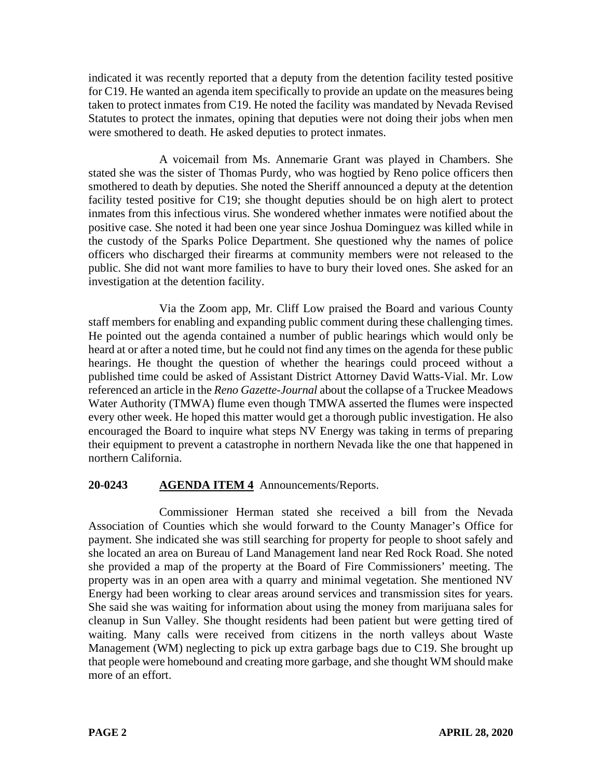indicated it was recently reported that a deputy from the detention facility tested positive for C19. He wanted an agenda item specifically to provide an update on the measures being taken to protect inmates from C19. He noted the facility was mandated by Nevada Revised Statutes to protect the inmates, opining that deputies were not doing their jobs when men were smothered to death. He asked deputies to protect inmates.

A voicemail from Ms. Annemarie Grant was played in Chambers. She stated she was the sister of Thomas Purdy, who was hogtied by Reno police officers then smothered to death by deputies. She noted the Sheriff announced a deputy at the detention facility tested positive for C19; she thought deputies should be on high alert to protect inmates from this infectious virus. She wondered whether inmates were notified about the positive case. She noted it had been one year since Joshua Dominguez was killed while in the custody of the Sparks Police Department. She questioned why the names of police officers who discharged their firearms at community members were not released to the public. She did not want more families to have to bury their loved ones. She asked for an investigation at the detention facility.

Via the Zoom app, Mr. Cliff Low praised the Board and various County staff members for enabling and expanding public comment during these challenging times. He pointed out the agenda contained a number of public hearings which would only be heard at or after a noted time, but he could not find any times on the agenda for these public hearings. He thought the question of whether the hearings could proceed without a published time could be asked of Assistant District Attorney David Watts-Vial. Mr. Low referenced an article in the *Reno Gazette-Journal* about the collapse of a Truckee Meadows Water Authority (TMWA) flume even though TMWA asserted the flumes were inspected every other week. He hoped this matter would get a thorough public investigation. He also encouraged the Board to inquire what steps NV Energy was taking in terms of preparing their equipment to prevent a catastrophe in northern Nevada like the one that happened in northern California.

# **20-0243 AGENDA ITEM 4** Announcements/Reports.

Commissioner Herman stated she received a bill from the Nevada Association of Counties which she would forward to the County Manager's Office for payment. She indicated she was still searching for property for people to shoot safely and she located an area on Bureau of Land Management land near Red Rock Road. She noted she provided a map of the property at the Board of Fire Commissioners' meeting. The property was in an open area with a quarry and minimal vegetation. She mentioned NV Energy had been working to clear areas around services and transmission sites for years. She said she was waiting for information about using the money from marijuana sales for cleanup in Sun Valley. She thought residents had been patient but were getting tired of waiting. Many calls were received from citizens in the north valleys about Waste Management (WM) neglecting to pick up extra garbage bags due to C19. She brought up that people were homebound and creating more garbage, and she thought WM should make more of an effort.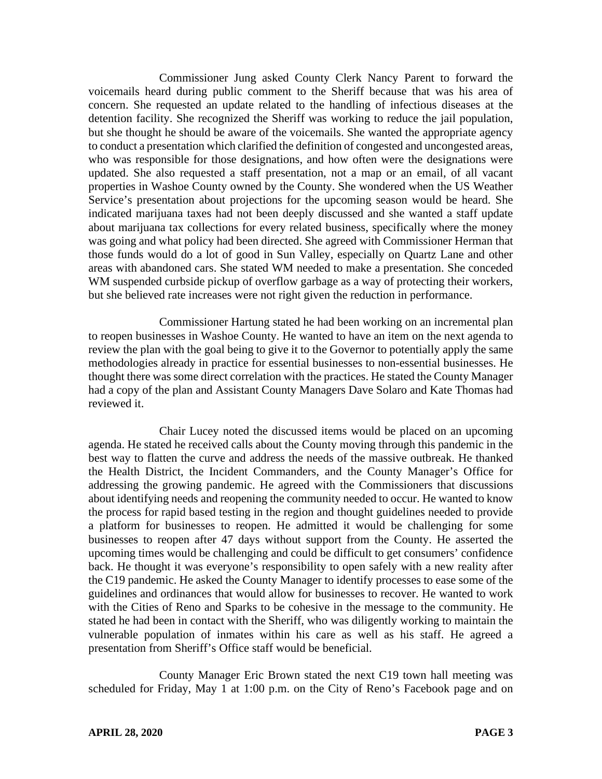Commissioner Jung asked County Clerk Nancy Parent to forward the voicemails heard during public comment to the Sheriff because that was his area of concern. She requested an update related to the handling of infectious diseases at the detention facility. She recognized the Sheriff was working to reduce the jail population, but she thought he should be aware of the voicemails. She wanted the appropriate agency to conduct a presentation which clarified the definition of congested and uncongested areas, who was responsible for those designations, and how often were the designations were updated. She also requested a staff presentation, not a map or an email, of all vacant properties in Washoe County owned by the County. She wondered when the US Weather Service's presentation about projections for the upcoming season would be heard. She indicated marijuana taxes had not been deeply discussed and she wanted a staff update about marijuana tax collections for every related business, specifically where the money was going and what policy had been directed. She agreed with Commissioner Herman that those funds would do a lot of good in Sun Valley, especially on Quartz Lane and other areas with abandoned cars. She stated WM needed to make a presentation. She conceded WM suspended curbside pickup of overflow garbage as a way of protecting their workers, but she believed rate increases were not right given the reduction in performance.

Commissioner Hartung stated he had been working on an incremental plan to reopen businesses in Washoe County. He wanted to have an item on the next agenda to review the plan with the goal being to give it to the Governor to potentially apply the same methodologies already in practice for essential businesses to non-essential businesses. He thought there was some direct correlation with the practices. He stated the County Manager had a copy of the plan and Assistant County Managers Dave Solaro and Kate Thomas had reviewed it.

Chair Lucey noted the discussed items would be placed on an upcoming agenda. He stated he received calls about the County moving through this pandemic in the best way to flatten the curve and address the needs of the massive outbreak. He thanked the Health District, the Incident Commanders, and the County Manager's Office for addressing the growing pandemic. He agreed with the Commissioners that discussions about identifying needs and reopening the community needed to occur. He wanted to know the process for rapid based testing in the region and thought guidelines needed to provide a platform for businesses to reopen. He admitted it would be challenging for some businesses to reopen after 47 days without support from the County. He asserted the upcoming times would be challenging and could be difficult to get consumers' confidence back. He thought it was everyone's responsibility to open safely with a new reality after the C19 pandemic. He asked the County Manager to identify processes to ease some of the guidelines and ordinances that would allow for businesses to recover. He wanted to work with the Cities of Reno and Sparks to be cohesive in the message to the community. He stated he had been in contact with the Sheriff, who was diligently working to maintain the vulnerable population of inmates within his care as well as his staff. He agreed a presentation from Sheriff's Office staff would be beneficial.

County Manager Eric Brown stated the next C19 town hall meeting was scheduled for Friday, May 1 at 1:00 p.m. on the City of Reno's Facebook page and on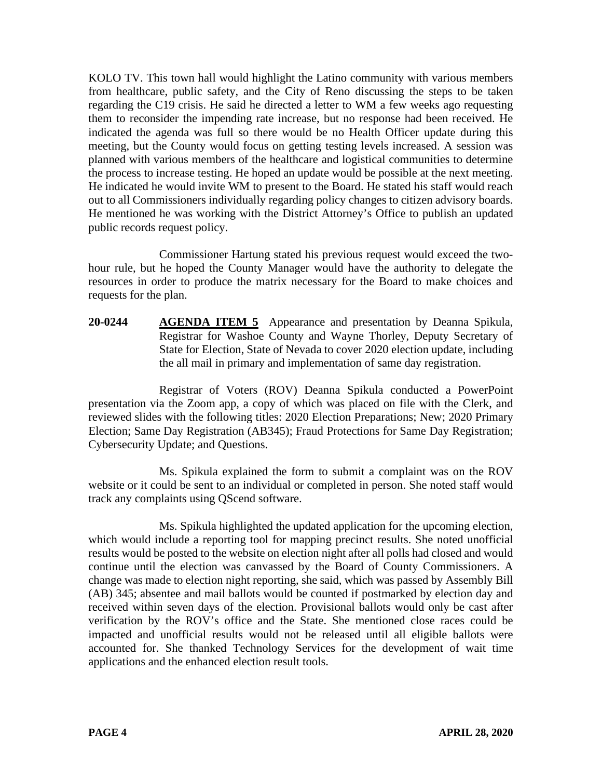KOLO TV. This town hall would highlight the Latino community with various members from healthcare, public safety, and the City of Reno discussing the steps to be taken regarding the C19 crisis. He said he directed a letter to WM a few weeks ago requesting them to reconsider the impending rate increase, but no response had been received. He indicated the agenda was full so there would be no Health Officer update during this meeting, but the County would focus on getting testing levels increased. A session was planned with various members of the healthcare and logistical communities to determine the process to increase testing. He hoped an update would be possible at the next meeting. He indicated he would invite WM to present to the Board. He stated his staff would reach out to all Commissioners individually regarding policy changes to citizen advisory boards. He mentioned he was working with the District Attorney's Office to publish an updated public records request policy.

Commissioner Hartung stated his previous request would exceed the twohour rule, but he hoped the County Manager would have the authority to delegate the resources in order to produce the matrix necessary for the Board to make choices and requests for the plan.

**20-0244 AGENDA ITEM 5** Appearance and presentation by Deanna Spikula, Registrar for Washoe County and Wayne Thorley, Deputy Secretary of State for Election, State of Nevada to cover 2020 election update, including the all mail in primary and implementation of same day registration.

Registrar of Voters (ROV) Deanna Spikula conducted a PowerPoint presentation via the Zoom app, a copy of which was placed on file with the Clerk, and reviewed slides with the following titles: 2020 Election Preparations; New; 2020 Primary Election; Same Day Registration (AB345); Fraud Protections for Same Day Registration; Cybersecurity Update; and Questions.

Ms. Spikula explained the form to submit a complaint was on the ROV website or it could be sent to an individual or completed in person. She noted staff would track any complaints using QScend software.

Ms. Spikula highlighted the updated application for the upcoming election, which would include a reporting tool for mapping precinct results. She noted unofficial results would be posted to the website on election night after all polls had closed and would continue until the election was canvassed by the Board of County Commissioners. A change was made to election night reporting, she said, which was passed by Assembly Bill (AB) 345; absentee and mail ballots would be counted if postmarked by election day and received within seven days of the election. Provisional ballots would only be cast after verification by the ROV's office and the State. She mentioned close races could be impacted and unofficial results would not be released until all eligible ballots were accounted for. She thanked Technology Services for the development of wait time applications and the enhanced election result tools.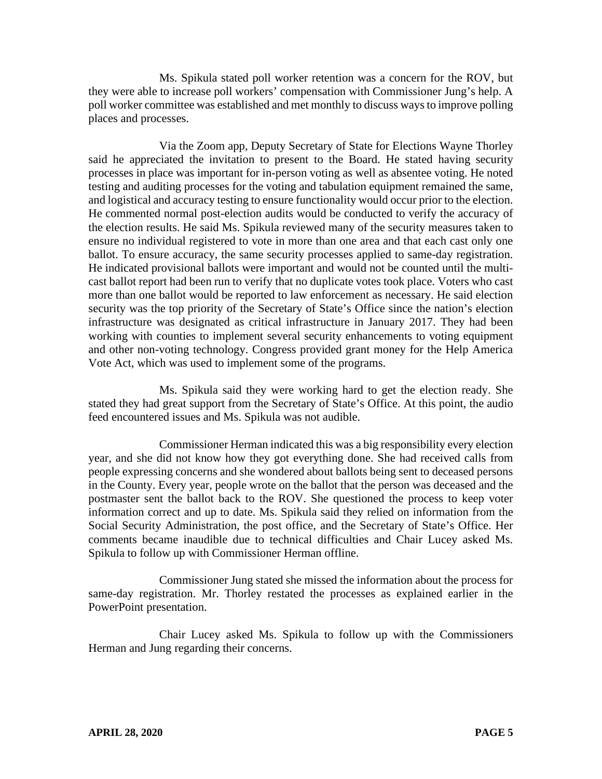Ms. Spikula stated poll worker retention was a concern for the ROV, but they were able to increase poll workers' compensation with Commissioner Jung's help. A poll worker committee was established and met monthly to discuss ways to improve polling places and processes.

Via the Zoom app, Deputy Secretary of State for Elections Wayne Thorley said he appreciated the invitation to present to the Board. He stated having security processes in place was important for in-person voting as well as absentee voting. He noted testing and auditing processes for the voting and tabulation equipment remained the same, and logistical and accuracy testing to ensure functionality would occur prior to the election. He commented normal post-election audits would be conducted to verify the accuracy of the election results. He said Ms. Spikula reviewed many of the security measures taken to ensure no individual registered to vote in more than one area and that each cast only one ballot. To ensure accuracy, the same security processes applied to same-day registration. He indicated provisional ballots were important and would not be counted until the multicast ballot report had been run to verify that no duplicate votes took place. Voters who cast more than one ballot would be reported to law enforcement as necessary. He said election security was the top priority of the Secretary of State's Office since the nation's election infrastructure was designated as critical infrastructure in January 2017. They had been working with counties to implement several security enhancements to voting equipment and other non-voting technology. Congress provided grant money for the Help America Vote Act, which was used to implement some of the programs.

Ms. Spikula said they were working hard to get the election ready. She stated they had great support from the Secretary of State's Office. At this point, the audio feed encountered issues and Ms. Spikula was not audible.

Commissioner Herman indicated this was a big responsibility every election year, and she did not know how they got everything done. She had received calls from people expressing concerns and she wondered about ballots being sent to deceased persons in the County. Every year, people wrote on the ballot that the person was deceased and the postmaster sent the ballot back to the ROV. She questioned the process to keep voter information correct and up to date. Ms. Spikula said they relied on information from the Social Security Administration, the post office, and the Secretary of State's Office. Her comments became inaudible due to technical difficulties and Chair Lucey asked Ms. Spikula to follow up with Commissioner Herman offline.

Commissioner Jung stated she missed the information about the process for same-day registration. Mr. Thorley restated the processes as explained earlier in the PowerPoint presentation.

Chair Lucey asked Ms. Spikula to follow up with the Commissioners Herman and Jung regarding their concerns.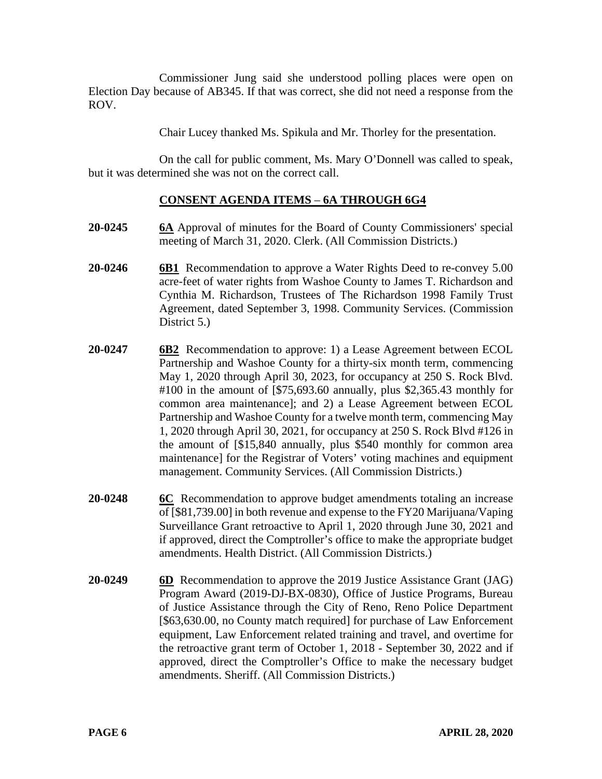Commissioner Jung said she understood polling places were open on Election Day because of AB345. If that was correct, she did not need a response from the ROV.

Chair Lucey thanked Ms. Spikula and Mr. Thorley for the presentation.

On the call for public comment, Ms. Mary O'Donnell was called to speak, but it was determined she was not on the correct call.

# **CONSENT AGENDA ITEMS** – **6A THROUGH 6G4**

- **20-0245 6A** Approval of minutes for the Board of County Commissioners' special meeting of March 31, 2020. Clerk. (All Commission Districts.)
- **20-0246 6B1** Recommendation to approve a Water Rights Deed to re-convey 5.00 acre-feet of water rights from Washoe County to James T. Richardson and Cynthia M. Richardson, Trustees of The Richardson 1998 Family Trust Agreement, dated September 3, 1998. Community Services. (Commission District 5.)
- **20-0247 6B2** Recommendation to approve: 1) a Lease Agreement between ECOL Partnership and Washoe County for a thirty-six month term, commencing May 1, 2020 through April 30, 2023, for occupancy at 250 S. Rock Blvd. #100 in the amount of [\$75,693.60 annually, plus \$2,365.43 monthly for common area maintenance]; and 2) a Lease Agreement between ECOL Partnership and Washoe County for a twelve month term, commencing May 1, 2020 through April 30, 2021, for occupancy at 250 S. Rock Blvd #126 in the amount of [\$15,840 annually, plus \$540 monthly for common area maintenance] for the Registrar of Voters' voting machines and equipment management. Community Services. (All Commission Districts.)
- **20-0248 6C** Recommendation to approve budget amendments totaling an increase of [\$81,739.00] in both revenue and expense to the FY20 Marijuana/Vaping Surveillance Grant retroactive to April 1, 2020 through June 30, 2021 and if approved, direct the Comptroller's office to make the appropriate budget amendments. Health District. (All Commission Districts.)
- **20-0249 6D** Recommendation to approve the 2019 Justice Assistance Grant (JAG) Program Award (2019-DJ-BX-0830), Office of Justice Programs, Bureau of Justice Assistance through the City of Reno, Reno Police Department [\$63,630.00, no County match required] for purchase of Law Enforcement equipment, Law Enforcement related training and travel, and overtime for the retroactive grant term of October 1, 2018 - September 30, 2022 and if approved, direct the Comptroller's Office to make the necessary budget amendments. Sheriff. (All Commission Districts.)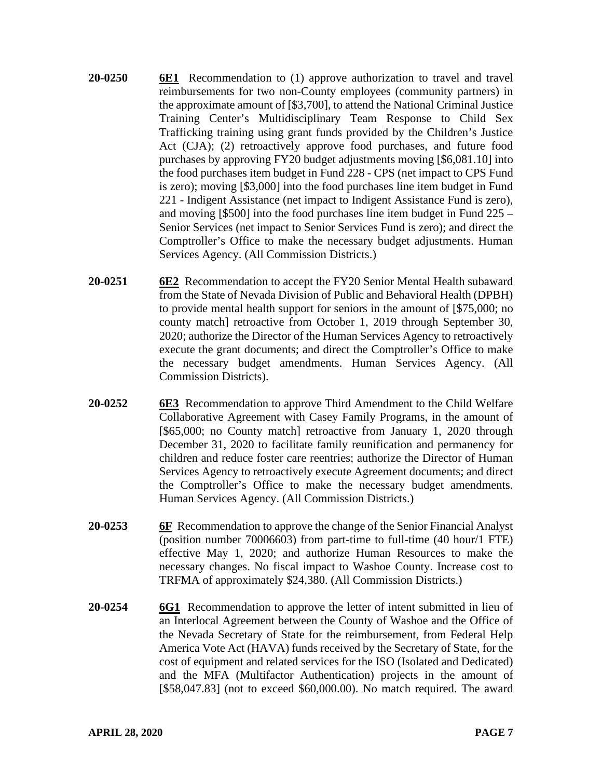- **20-0250 6E1** Recommendation to (1) approve authorization to travel and travel reimbursements for two non-County employees (community partners) in the approximate amount of [\$3,700], to attend the National Criminal Justice Training Center's Multidisciplinary Team Response to Child Sex Trafficking training using grant funds provided by the Children's Justice Act (CJA); (2) retroactively approve food purchases, and future food purchases by approving FY20 budget adjustments moving [\$6,081.10] into the food purchases item budget in Fund 228 - CPS (net impact to CPS Fund is zero); moving [\$3,000] into the food purchases line item budget in Fund 221 - Indigent Assistance (net impact to Indigent Assistance Fund is zero), and moving [\$500] into the food purchases line item budget in Fund 225 – Senior Services (net impact to Senior Services Fund is zero); and direct the Comptroller's Office to make the necessary budget adjustments. Human Services Agency. (All Commission Districts.)
- **20-0251 6E2** Recommendation to accept the FY20 Senior Mental Health subaward from the State of Nevada Division of Public and Behavioral Health (DPBH) to provide mental health support for seniors in the amount of [\$75,000; no county match] retroactive from October 1, 2019 through September 30, 2020; authorize the Director of the Human Services Agency to retroactively execute the grant documents; and direct the Comptroller's Office to make the necessary budget amendments. Human Services Agency. (All Commission Districts).
- **20-0252 6E3** Recommendation to approve Third Amendment to the Child Welfare Collaborative Agreement with Casey Family Programs, in the amount of [\$65,000; no County match] retroactive from January 1, 2020 through December 31, 2020 to facilitate family reunification and permanency for children and reduce foster care reentries; authorize the Director of Human Services Agency to retroactively execute Agreement documents; and direct the Comptroller's Office to make the necessary budget amendments. Human Services Agency. (All Commission Districts.)
- **20-0253 6F** Recommendation to approve the change of the Senior Financial Analyst (position number 70006603) from part-time to full-time (40 hour/1 FTE) effective May 1, 2020; and authorize Human Resources to make the necessary changes. No fiscal impact to Washoe County. Increase cost to TRFMA of approximately \$24,380. (All Commission Districts.)
- **20-0254 6G1** Recommendation to approve the letter of intent submitted in lieu of an Interlocal Agreement between the County of Washoe and the Office of the Nevada Secretary of State for the reimbursement, from Federal Help America Vote Act (HAVA) funds received by the Secretary of State, for the cost of equipment and related services for the ISO (Isolated and Dedicated) and the MFA (Multifactor Authentication) projects in the amount of [\$58,047.83] (not to exceed \$60,000.00). No match required. The award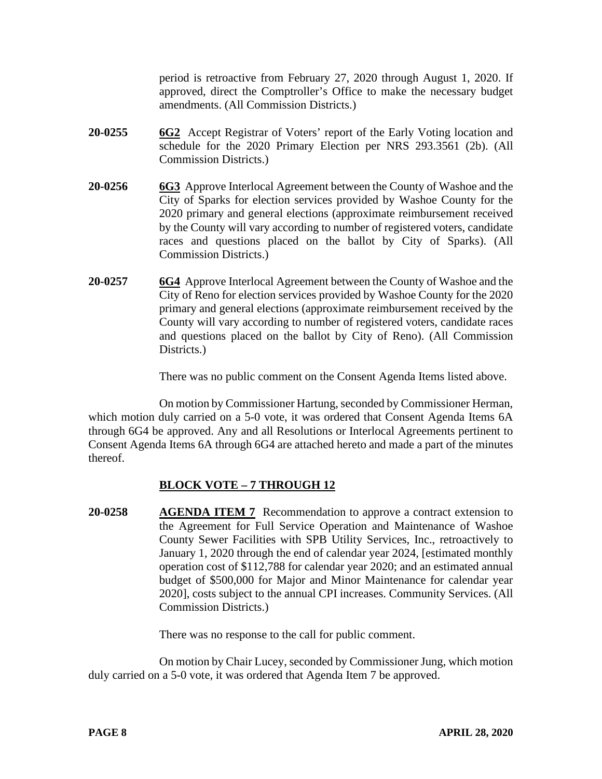period is retroactive from February 27, 2020 through August 1, 2020. If approved, direct the Comptroller's Office to make the necessary budget amendments. (All Commission Districts.)

- **20-0255 6G2** Accept Registrar of Voters' report of the Early Voting location and schedule for the 2020 Primary Election per NRS 293.3561 (2b). (All Commission Districts.)
- **20-0256 6G3** Approve Interlocal Agreement between the County of Washoe and the City of Sparks for election services provided by Washoe County for the 2020 primary and general elections (approximate reimbursement received by the County will vary according to number of registered voters, candidate races and questions placed on the ballot by City of Sparks). (All Commission Districts.)
- **20-0257 6G4** Approve Interlocal Agreement between the County of Washoe and the City of Reno for election services provided by Washoe County for the 2020 primary and general elections (approximate reimbursement received by the County will vary according to number of registered voters, candidate races and questions placed on the ballot by City of Reno). (All Commission Districts.

There was no public comment on the Consent Agenda Items listed above.

On motion by Commissioner Hartung, seconded by Commissioner Herman, which motion duly carried on a 5-0 vote, it was ordered that Consent Agenda Items 6A through 6G4 be approved. Any and all Resolutions or Interlocal Agreements pertinent to Consent Agenda Items 6A through 6G4 are attached hereto and made a part of the minutes thereof.

# **BLOCK VOTE – 7 THROUGH 12**

**20-0258 AGENDA ITEM 7** Recommendation to approve a contract extension to the Agreement for Full Service Operation and Maintenance of Washoe County Sewer Facilities with SPB Utility Services, Inc., retroactively to January 1, 2020 through the end of calendar year 2024, [estimated monthly operation cost of \$112,788 for calendar year 2020; and an estimated annual budget of \$500,000 for Major and Minor Maintenance for calendar year 2020], costs subject to the annual CPI increases. Community Services. (All Commission Districts.)

There was no response to the call for public comment.

On motion by Chair Lucey, seconded by Commissioner Jung, which motion duly carried on a 5-0 vote, it was ordered that Agenda Item 7 be approved.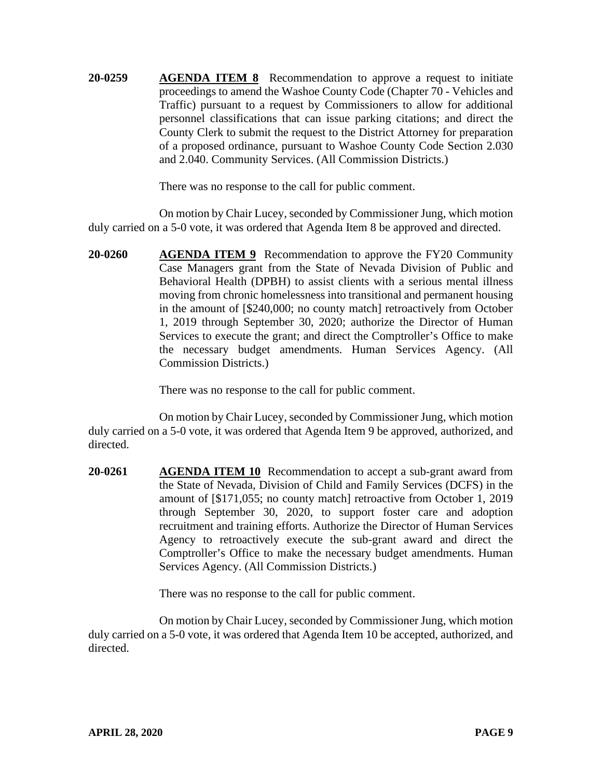**20-0259 AGENDA ITEM 8** Recommendation to approve a request to initiate proceedings to amend the Washoe County Code (Chapter 70 - Vehicles and Traffic) pursuant to a request by Commissioners to allow for additional personnel classifications that can issue parking citations; and direct the County Clerk to submit the request to the District Attorney for preparation of a proposed ordinance, pursuant to Washoe County Code Section 2.030 and 2.040. Community Services. (All Commission Districts.)

There was no response to the call for public comment.

On motion by Chair Lucey, seconded by Commissioner Jung, which motion duly carried on a 5-0 vote, it was ordered that Agenda Item 8 be approved and directed.

**20-0260 AGENDA ITEM 9** Recommendation to approve the FY20 Community Case Managers grant from the State of Nevada Division of Public and Behavioral Health (DPBH) to assist clients with a serious mental illness moving from chronic homelessness into transitional and permanent housing in the amount of [\$240,000; no county match] retroactively from October 1, 2019 through September 30, 2020; authorize the Director of Human Services to execute the grant; and direct the Comptroller's Office to make the necessary budget amendments. Human Services Agency. (All Commission Districts.)

There was no response to the call for public comment.

On motion by Chair Lucey, seconded by Commissioner Jung, which motion duly carried on a 5-0 vote, it was ordered that Agenda Item 9 be approved, authorized, and directed.

**20-0261 AGENDA ITEM 10** Recommendation to accept a sub-grant award from the State of Nevada, Division of Child and Family Services (DCFS) in the amount of [\$171,055; no county match] retroactive from October 1, 2019 through September 30, 2020, to support foster care and adoption recruitment and training efforts. Authorize the Director of Human Services Agency to retroactively execute the sub-grant award and direct the Comptroller's Office to make the necessary budget amendments. Human Services Agency. (All Commission Districts.)

There was no response to the call for public comment.

On motion by Chair Lucey, seconded by Commissioner Jung, which motion duly carried on a 5-0 vote, it was ordered that Agenda Item 10 be accepted, authorized, and directed.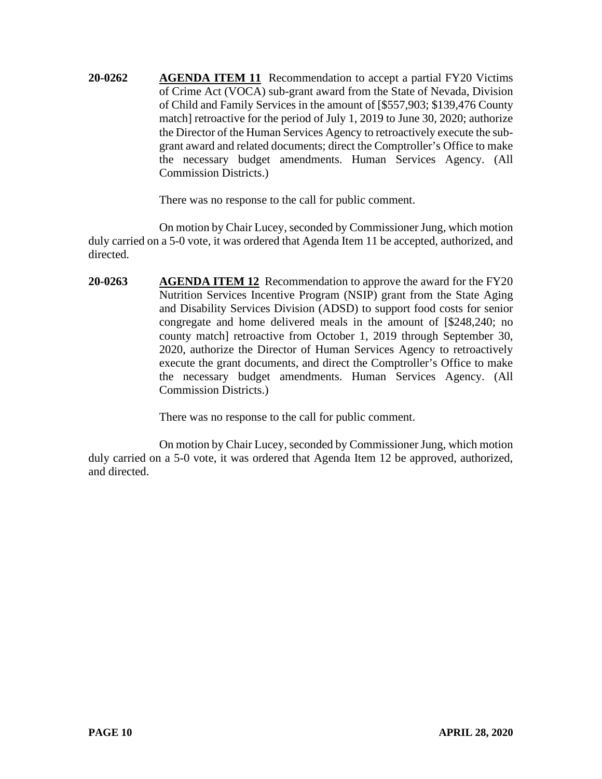**20-0262 AGENDA ITEM 11** Recommendation to accept a partial FY20 Victims of Crime Act (VOCA) sub-grant award from the State of Nevada, Division of Child and Family Services in the amount of [\$557,903; \$139,476 County match] retroactive for the period of July 1, 2019 to June 30, 2020; authorize the Director of the Human Services Agency to retroactively execute the subgrant award and related documents; direct the Comptroller's Office to make the necessary budget amendments. Human Services Agency. (All Commission Districts.)

There was no response to the call for public comment.

On motion by Chair Lucey, seconded by Commissioner Jung, which motion duly carried on a 5-0 vote, it was ordered that Agenda Item 11 be accepted, authorized, and directed.

**20-0263 AGENDA ITEM 12** Recommendation to approve the award for the FY20 Nutrition Services Incentive Program (NSIP) grant from the State Aging and Disability Services Division (ADSD) to support food costs for senior congregate and home delivered meals in the amount of [\$248,240; no county match] retroactive from October 1, 2019 through September 30, 2020, authorize the Director of Human Services Agency to retroactively execute the grant documents, and direct the Comptroller's Office to make the necessary budget amendments. Human Services Agency. (All Commission Districts.)

There was no response to the call for public comment.

On motion by Chair Lucey, seconded by Commissioner Jung, which motion duly carried on a 5-0 vote, it was ordered that Agenda Item 12 be approved, authorized, and directed.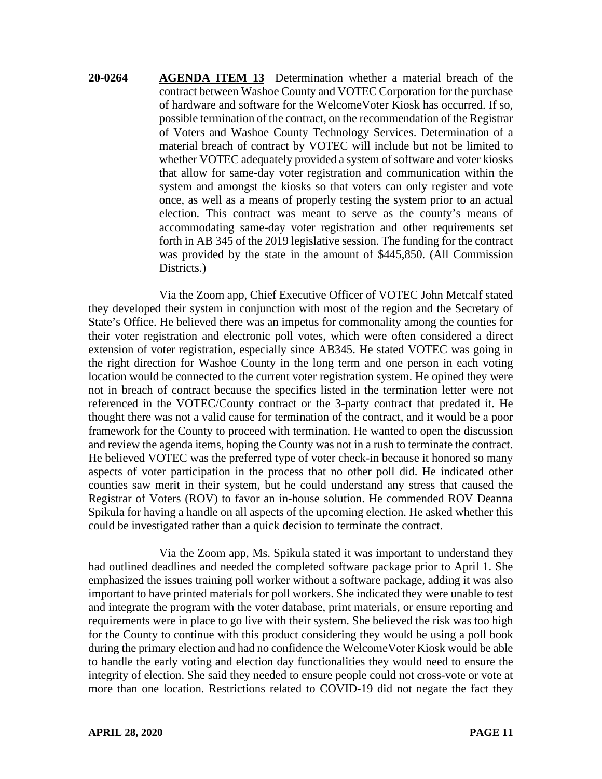**20-0264 AGENDA ITEM 13** Determination whether a material breach of the contract between Washoe County and VOTEC Corporation for the purchase of hardware and software for the WelcomeVoter Kiosk has occurred. If so, possible termination of the contract, on the recommendation of the Registrar of Voters and Washoe County Technology Services. Determination of a material breach of contract by VOTEC will include but not be limited to whether VOTEC adequately provided a system of software and voter kiosks that allow for same-day voter registration and communication within the system and amongst the kiosks so that voters can only register and vote once, as well as a means of properly testing the system prior to an actual election. This contract was meant to serve as the county's means of accommodating same-day voter registration and other requirements set forth in AB 345 of the 2019 legislative session. The funding for the contract was provided by the state in the amount of \$445,850. (All Commission Districts.)

Via the Zoom app, Chief Executive Officer of VOTEC John Metcalf stated they developed their system in conjunction with most of the region and the Secretary of State's Office. He believed there was an impetus for commonality among the counties for their voter registration and electronic poll votes, which were often considered a direct extension of voter registration, especially since AB345. He stated VOTEC was going in the right direction for Washoe County in the long term and one person in each voting location would be connected to the current voter registration system. He opined they were not in breach of contract because the specifics listed in the termination letter were not referenced in the VOTEC/County contract or the 3-party contract that predated it. He thought there was not a valid cause for termination of the contract, and it would be a poor framework for the County to proceed with termination. He wanted to open the discussion and review the agenda items, hoping the County was not in a rush to terminate the contract. He believed VOTEC was the preferred type of voter check-in because it honored so many aspects of voter participation in the process that no other poll did. He indicated other counties saw merit in their system, but he could understand any stress that caused the Registrar of Voters (ROV) to favor an in-house solution. He commended ROV Deanna Spikula for having a handle on all aspects of the upcoming election. He asked whether this could be investigated rather than a quick decision to terminate the contract.

Via the Zoom app, Ms. Spikula stated it was important to understand they had outlined deadlines and needed the completed software package prior to April 1. She emphasized the issues training poll worker without a software package, adding it was also important to have printed materials for poll workers. She indicated they were unable to test and integrate the program with the voter database, print materials, or ensure reporting and requirements were in place to go live with their system. She believed the risk was too high for the County to continue with this product considering they would be using a poll book during the primary election and had no confidence the WelcomeVoter Kiosk would be able to handle the early voting and election day functionalities they would need to ensure the integrity of election. She said they needed to ensure people could not cross-vote or vote at more than one location. Restrictions related to COVID-19 did not negate the fact they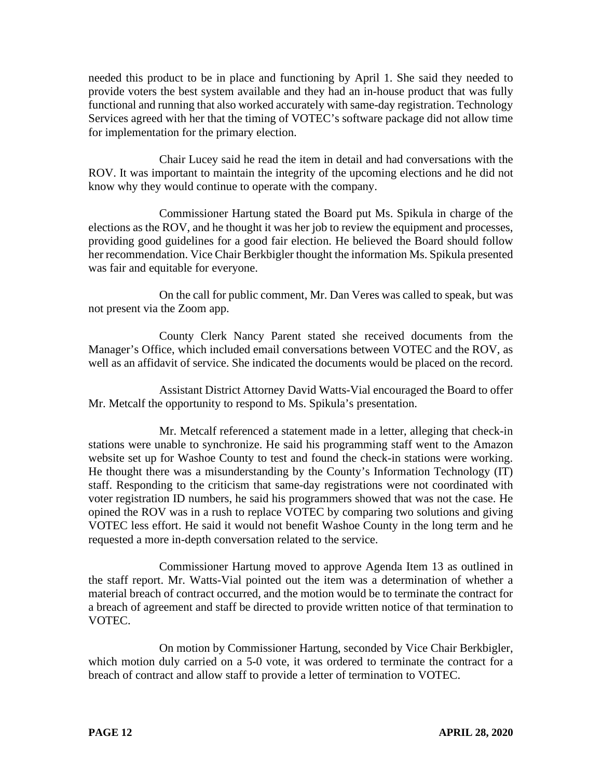needed this product to be in place and functioning by April 1. She said they needed to provide voters the best system available and they had an in-house product that was fully functional and running that also worked accurately with same-day registration. Technology Services agreed with her that the timing of VOTEC's software package did not allow time for implementation for the primary election.

Chair Lucey said he read the item in detail and had conversations with the ROV. It was important to maintain the integrity of the upcoming elections and he did not know why they would continue to operate with the company.

Commissioner Hartung stated the Board put Ms. Spikula in charge of the elections as the ROV, and he thought it was her job to review the equipment and processes, providing good guidelines for a good fair election. He believed the Board should follow her recommendation. Vice Chair Berkbigler thought the information Ms. Spikula presented was fair and equitable for everyone.

On the call for public comment, Mr. Dan Veres was called to speak, but was not present via the Zoom app.

County Clerk Nancy Parent stated she received documents from the Manager's Office, which included email conversations between VOTEC and the ROV, as well as an affidavit of service. She indicated the documents would be placed on the record.

Assistant District Attorney David Watts-Vial encouraged the Board to offer Mr. Metcalf the opportunity to respond to Ms. Spikula's presentation.

Mr. Metcalf referenced a statement made in a letter, alleging that check-in stations were unable to synchronize. He said his programming staff went to the Amazon website set up for Washoe County to test and found the check-in stations were working. He thought there was a misunderstanding by the County's Information Technology (IT) staff. Responding to the criticism that same-day registrations were not coordinated with voter registration ID numbers, he said his programmers showed that was not the case. He opined the ROV was in a rush to replace VOTEC by comparing two solutions and giving VOTEC less effort. He said it would not benefit Washoe County in the long term and he requested a more in-depth conversation related to the service.

Commissioner Hartung moved to approve Agenda Item 13 as outlined in the staff report. Mr. Watts-Vial pointed out the item was a determination of whether a material breach of contract occurred, and the motion would be to terminate the contract for a breach of agreement and staff be directed to provide written notice of that termination to VOTEC.

On motion by Commissioner Hartung, seconded by Vice Chair Berkbigler, which motion duly carried on a 5-0 vote, it was ordered to terminate the contract for a breach of contract and allow staff to provide a letter of termination to VOTEC.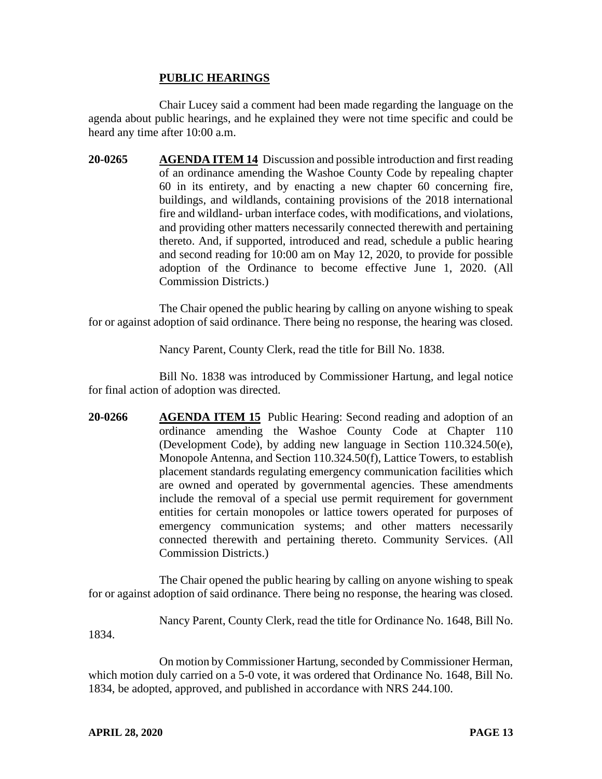#### **PUBLIC HEARINGS**

Chair Lucey said a comment had been made regarding the language on the agenda about public hearings, and he explained they were not time specific and could be heard any time after 10:00 a.m.

**20-0265 AGENDA ITEM 14** Discussion and possible introduction and first reading of an ordinance amending the Washoe County Code by repealing chapter 60 in its entirety, and by enacting a new chapter 60 concerning fire, buildings, and wildlands, containing provisions of the 2018 international fire and wildland- urban interface codes, with modifications, and violations, and providing other matters necessarily connected therewith and pertaining thereto. And, if supported, introduced and read, schedule a public hearing and second reading for 10:00 am on May 12, 2020, to provide for possible adoption of the Ordinance to become effective June 1, 2020. (All Commission Districts.)

The Chair opened the public hearing by calling on anyone wishing to speak for or against adoption of said ordinance. There being no response, the hearing was closed.

Nancy Parent, County Clerk, read the title for Bill No. 1838.

Bill No. 1838 was introduced by Commissioner Hartung, and legal notice for final action of adoption was directed.

**20-0266 AGENDA ITEM 15** Public Hearing: Second reading and adoption of an ordinance amending the Washoe County Code at Chapter 110 (Development Code), by adding new language in Section 110.324.50(e), Monopole Antenna, and Section 110.324.50(f), Lattice Towers, to establish placement standards regulating emergency communication facilities which are owned and operated by governmental agencies. These amendments include the removal of a special use permit requirement for government entities for certain monopoles or lattice towers operated for purposes of emergency communication systems; and other matters necessarily connected therewith and pertaining thereto. Community Services. (All Commission Districts.)

The Chair opened the public hearing by calling on anyone wishing to speak for or against adoption of said ordinance. There being no response, the hearing was closed.

Nancy Parent, County Clerk, read the title for Ordinance No. 1648, Bill No.

1834.

On motion by Commissioner Hartung, seconded by Commissioner Herman, which motion duly carried on a 5-0 vote, it was ordered that Ordinance No. 1648, Bill No. 1834, be adopted, approved, and published in accordance with NRS 244.100.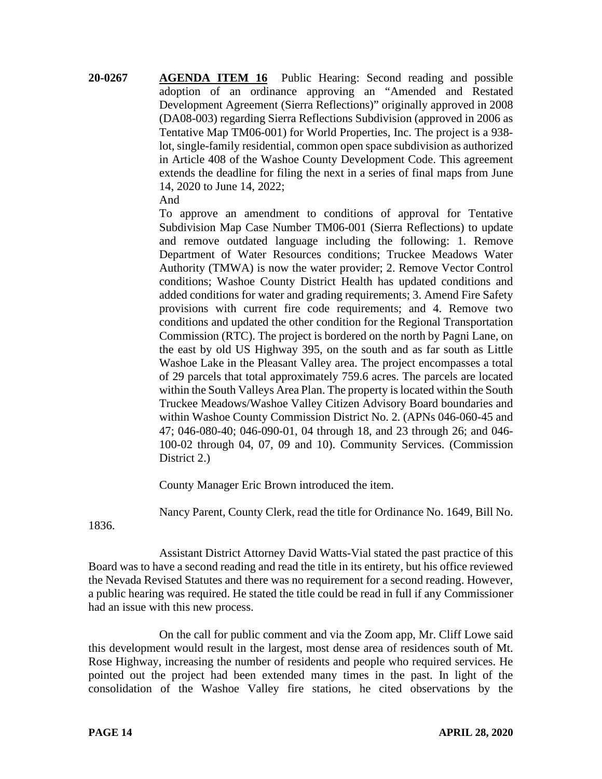**20-0267 AGENDA ITEM 16** Public Hearing: Second reading and possible adoption of an ordinance approving an "Amended and Restated Development Agreement (Sierra Reflections)" originally approved in 2008 (DA08-003) regarding Sierra Reflections Subdivision (approved in 2006 as Tentative Map TM06-001) for World Properties, Inc. The project is a 938 lot, single-family residential, common open space subdivision as authorized in Article 408 of the Washoe County Development Code. This agreement extends the deadline for filing the next in a series of final maps from June 14, 2020 to June 14, 2022;

And

To approve an amendment to conditions of approval for Tentative Subdivision Map Case Number TM06-001 (Sierra Reflections) to update and remove outdated language including the following: 1. Remove Department of Water Resources conditions; Truckee Meadows Water Authority (TMWA) is now the water provider; 2. Remove Vector Control conditions; Washoe County District Health has updated conditions and added conditions for water and grading requirements; 3. Amend Fire Safety provisions with current fire code requirements; and 4. Remove two conditions and updated the other condition for the Regional Transportation Commission (RTC). The project is bordered on the north by Pagni Lane, on the east by old US Highway 395, on the south and as far south as Little Washoe Lake in the Pleasant Valley area. The project encompasses a total of 29 parcels that total approximately 759.6 acres. The parcels are located within the South Valleys Area Plan. The property is located within the South Truckee Meadows/Washoe Valley Citizen Advisory Board boundaries and within Washoe County Commission District No. 2. (APNs 046-060-45 and 47; 046-080-40; 046-090-01, 04 through 18, and 23 through 26; and 046- 100-02 through 04, 07, 09 and 10). Community Services. (Commission District 2.)

County Manager Eric Brown introduced the item.

Nancy Parent, County Clerk, read the title for Ordinance No. 1649, Bill No.

1836.

Assistant District Attorney David Watts-Vial stated the past practice of this Board was to have a second reading and read the title in its entirety, but his office reviewed the Nevada Revised Statutes and there was no requirement for a second reading. However, a public hearing was required. He stated the title could be read in full if any Commissioner had an issue with this new process.

On the call for public comment and via the Zoom app, Mr. Cliff Lowe said this development would result in the largest, most dense area of residences south of Mt. Rose Highway, increasing the number of residents and people who required services. He pointed out the project had been extended many times in the past. In light of the consolidation of the Washoe Valley fire stations, he cited observations by the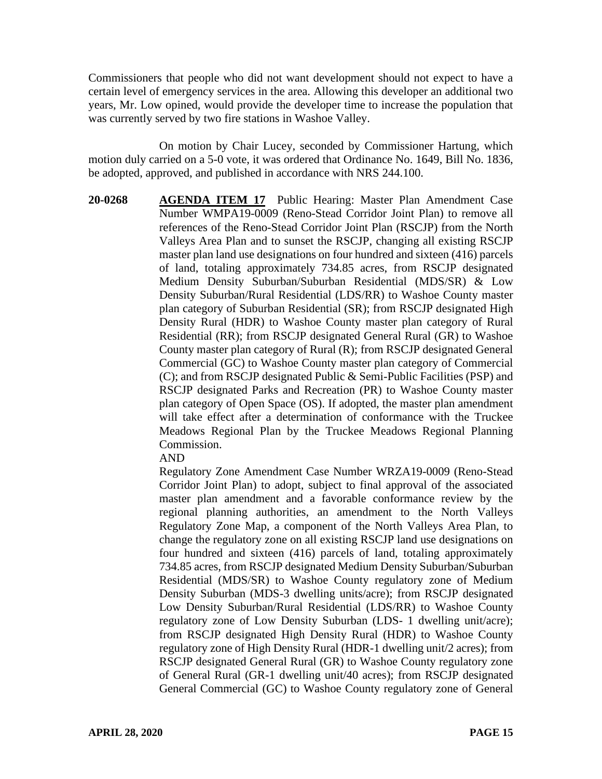Commissioners that people who did not want development should not expect to have a certain level of emergency services in the area. Allowing this developer an additional two years, Mr. Low opined, would provide the developer time to increase the population that was currently served by two fire stations in Washoe Valley.

On motion by Chair Lucey, seconded by Commissioner Hartung, which motion duly carried on a 5-0 vote, it was ordered that Ordinance No. 1649, Bill No. 1836, be adopted, approved, and published in accordance with NRS 244.100.

**20-0268 AGENDA ITEM 17** Public Hearing: Master Plan Amendment Case Number WMPA19-0009 (Reno-Stead Corridor Joint Plan) to remove all references of the Reno-Stead Corridor Joint Plan (RSCJP) from the North Valleys Area Plan and to sunset the RSCJP, changing all existing RSCJP master plan land use designations on four hundred and sixteen (416) parcels of land, totaling approximately 734.85 acres, from RSCJP designated Medium Density Suburban/Suburban Residential (MDS/SR) & Low Density Suburban/Rural Residential (LDS/RR) to Washoe County master plan category of Suburban Residential (SR); from RSCJP designated High Density Rural (HDR) to Washoe County master plan category of Rural Residential (RR); from RSCJP designated General Rural (GR) to Washoe County master plan category of Rural (R); from RSCJP designated General Commercial (GC) to Washoe County master plan category of Commercial (C); and from RSCJP designated Public & Semi-Public Facilities (PSP) and RSCJP designated Parks and Recreation (PR) to Washoe County master plan category of Open Space (OS). If adopted, the master plan amendment will take effect after a determination of conformance with the Truckee Meadows Regional Plan by the Truckee Meadows Regional Planning Commission.

AND

Regulatory Zone Amendment Case Number WRZA19-0009 (Reno-Stead Corridor Joint Plan) to adopt, subject to final approval of the associated master plan amendment and a favorable conformance review by the regional planning authorities, an amendment to the North Valleys Regulatory Zone Map, a component of the North Valleys Area Plan, to change the regulatory zone on all existing RSCJP land use designations on four hundred and sixteen (416) parcels of land, totaling approximately 734.85 acres, from RSCJP designated Medium Density Suburban/Suburban Residential (MDS/SR) to Washoe County regulatory zone of Medium Density Suburban (MDS-3 dwelling units/acre); from RSCJP designated Low Density Suburban/Rural Residential (LDS/RR) to Washoe County regulatory zone of Low Density Suburban (LDS- 1 dwelling unit/acre); from RSCJP designated High Density Rural (HDR) to Washoe County regulatory zone of High Density Rural (HDR-1 dwelling unit/2 acres); from RSCJP designated General Rural (GR) to Washoe County regulatory zone of General Rural (GR-1 dwelling unit/40 acres); from RSCJP designated General Commercial (GC) to Washoe County regulatory zone of General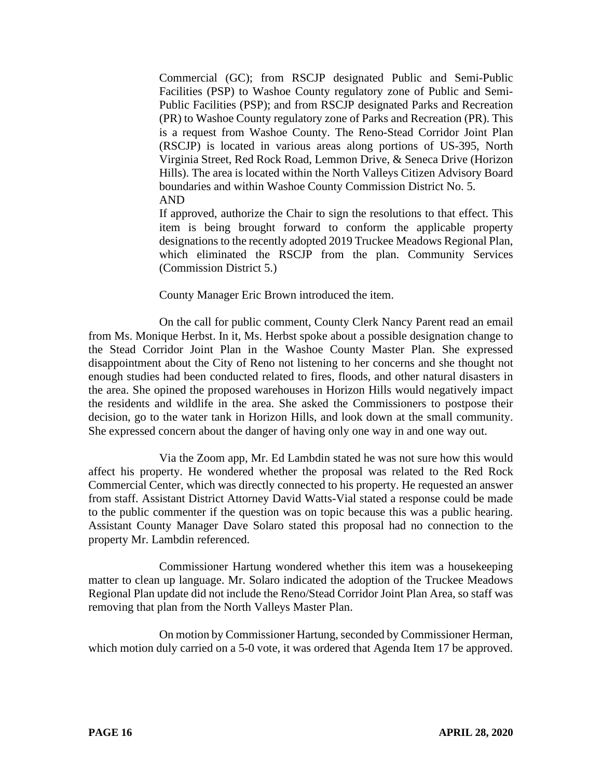Commercial (GC); from RSCJP designated Public and Semi-Public Facilities (PSP) to Washoe County regulatory zone of Public and Semi-Public Facilities (PSP); and from RSCJP designated Parks and Recreation (PR) to Washoe County regulatory zone of Parks and Recreation (PR). This is a request from Washoe County. The Reno-Stead Corridor Joint Plan (RSCJP) is located in various areas along portions of US-395, North Virginia Street, Red Rock Road, Lemmon Drive, & Seneca Drive (Horizon Hills). The area is located within the North Valleys Citizen Advisory Board boundaries and within Washoe County Commission District No. 5. AND

If approved, authorize the Chair to sign the resolutions to that effect. This item is being brought forward to conform the applicable property designations to the recently adopted 2019 Truckee Meadows Regional Plan, which eliminated the RSCJP from the plan. Community Services (Commission District 5.)

County Manager Eric Brown introduced the item.

On the call for public comment, County Clerk Nancy Parent read an email from Ms. Monique Herbst. In it, Ms. Herbst spoke about a possible designation change to the Stead Corridor Joint Plan in the Washoe County Master Plan. She expressed disappointment about the City of Reno not listening to her concerns and she thought not enough studies had been conducted related to fires, floods, and other natural disasters in the area. She opined the proposed warehouses in Horizon Hills would negatively impact the residents and wildlife in the area. She asked the Commissioners to postpose their decision, go to the water tank in Horizon Hills, and look down at the small community. She expressed concern about the danger of having only one way in and one way out.

Via the Zoom app, Mr. Ed Lambdin stated he was not sure how this would affect his property. He wondered whether the proposal was related to the Red Rock Commercial Center, which was directly connected to his property. He requested an answer from staff. Assistant District Attorney David Watts-Vial stated a response could be made to the public commenter if the question was on topic because this was a public hearing. Assistant County Manager Dave Solaro stated this proposal had no connection to the property Mr. Lambdin referenced.

Commissioner Hartung wondered whether this item was a housekeeping matter to clean up language. Mr. Solaro indicated the adoption of the Truckee Meadows Regional Plan update did not include the Reno/Stead Corridor Joint Plan Area, so staff was removing that plan from the North Valleys Master Plan.

On motion by Commissioner Hartung, seconded by Commissioner Herman, which motion duly carried on a 5-0 vote, it was ordered that Agenda Item 17 be approved.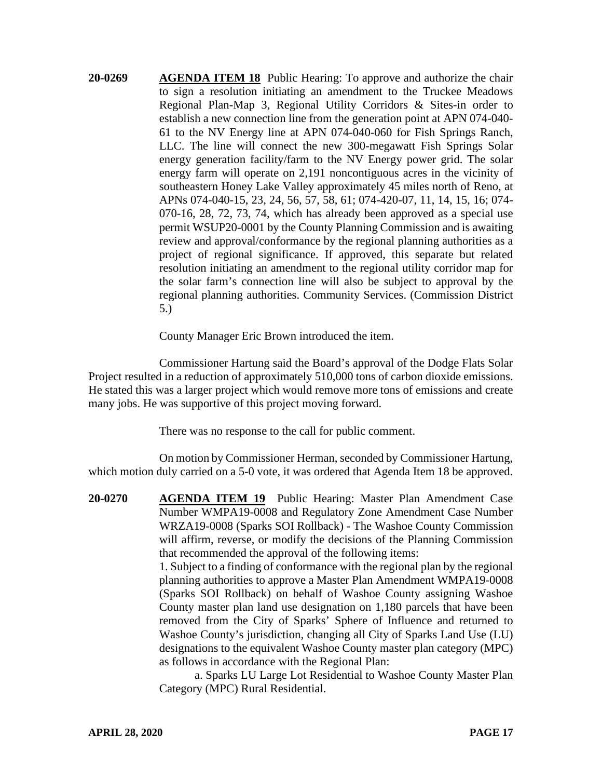**20-0269 AGENDA ITEM 18** Public Hearing: To approve and authorize the chair to sign a resolution initiating an amendment to the Truckee Meadows Regional Plan-Map 3, Regional Utility Corridors & Sites-in order to establish a new connection line from the generation point at APN 074-040- 61 to the NV Energy line at APN 074-040-060 for Fish Springs Ranch, LLC. The line will connect the new 300-megawatt Fish Springs Solar energy generation facility/farm to the NV Energy power grid. The solar energy farm will operate on 2,191 noncontiguous acres in the vicinity of southeastern Honey Lake Valley approximately 45 miles north of Reno, at APNs 074-040-15, 23, 24, 56, 57, 58, 61; 074-420-07, 11, 14, 15, 16; 074- 070-16, 28, 72, 73, 74, which has already been approved as a special use permit WSUP20-0001 by the County Planning Commission and is awaiting review and approval/conformance by the regional planning authorities as a project of regional significance. If approved, this separate but related resolution initiating an amendment to the regional utility corridor map for the solar farm's connection line will also be subject to approval by the regional planning authorities. Community Services. (Commission District 5.)

County Manager Eric Brown introduced the item.

Commissioner Hartung said the Board's approval of the Dodge Flats Solar Project resulted in a reduction of approximately 510,000 tons of carbon dioxide emissions. He stated this was a larger project which would remove more tons of emissions and create many jobs. He was supportive of this project moving forward.

There was no response to the call for public comment.

On motion by Commissioner Herman, seconded by Commissioner Hartung, which motion duly carried on a 5-0 vote, it was ordered that Agenda Item 18 be approved.

**20-0270 AGENDA ITEM 19** Public Hearing: Master Plan Amendment Case Number WMPA19-0008 and Regulatory Zone Amendment Case Number WRZA19-0008 (Sparks SOI Rollback) - The Washoe County Commission will affirm, reverse, or modify the decisions of the Planning Commission that recommended the approval of the following items:

> 1. Subject to a finding of conformance with the regional plan by the regional planning authorities to approve a Master Plan Amendment WMPA19-0008 (Sparks SOI Rollback) on behalf of Washoe County assigning Washoe County master plan land use designation on 1,180 parcels that have been removed from the City of Sparks' Sphere of Influence and returned to Washoe County's jurisdiction, changing all City of Sparks Land Use (LU) designations to the equivalent Washoe County master plan category (MPC) as follows in accordance with the Regional Plan:

> a. Sparks LU Large Lot Residential to Washoe County Master Plan Category (MPC) Rural Residential.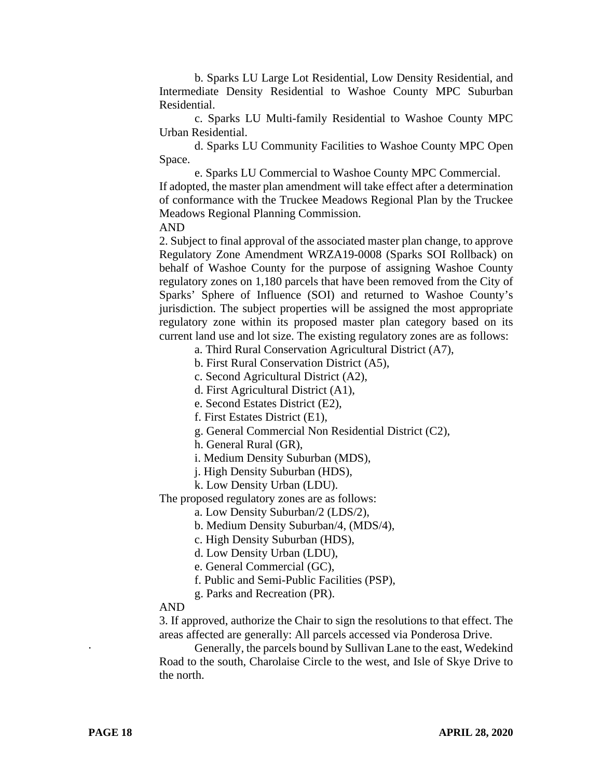b. Sparks LU Large Lot Residential, Low Density Residential, and Intermediate Density Residential to Washoe County MPC Suburban Residential.

c. Sparks LU Multi-family Residential to Washoe County MPC Urban Residential.

d. Sparks LU Community Facilities to Washoe County MPC Open Space.

e. Sparks LU Commercial to Washoe County MPC Commercial.

If adopted, the master plan amendment will take effect after a determination of conformance with the Truckee Meadows Regional Plan by the Truckee Meadows Regional Planning Commission.

AND

2. Subject to final approval of the associated master plan change, to approve Regulatory Zone Amendment WRZA19-0008 (Sparks SOI Rollback) on behalf of Washoe County for the purpose of assigning Washoe County regulatory zones on 1,180 parcels that have been removed from the City of Sparks' Sphere of Influence (SOI) and returned to Washoe County's jurisdiction. The subject properties will be assigned the most appropriate regulatory zone within its proposed master plan category based on its current land use and lot size. The existing regulatory zones are as follows:

a. Third Rural Conservation Agricultural District (A7),

b. First Rural Conservation District (A5),

c. Second Agricultural District (A2),

d. First Agricultural District (A1),

e. Second Estates District (E2),

f. First Estates District (E1),

g. General Commercial Non Residential District (C2),

h. General Rural (GR),

i. Medium Density Suburban (MDS),

- j. High Density Suburban (HDS),
- k. Low Density Urban (LDU).

The proposed regulatory zones are as follows:

a. Low Density Suburban/2 (LDS/2),

b. Medium Density Suburban/4, (MDS/4),

c. High Density Suburban (HDS),

d. Low Density Urban (LDU),

e. General Commercial (GC),

f. Public and Semi-Public Facilities (PSP),

g. Parks and Recreation (PR).

#### AND

3. If approved, authorize the Chair to sign the resolutions to that effect. The areas affected are generally: All parcels accessed via Ponderosa Drive.

Generally, the parcels bound by Sullivan Lane to the east, Wedekind Road to the south, Charolaise Circle to the west, and Isle of Skye Drive to the north.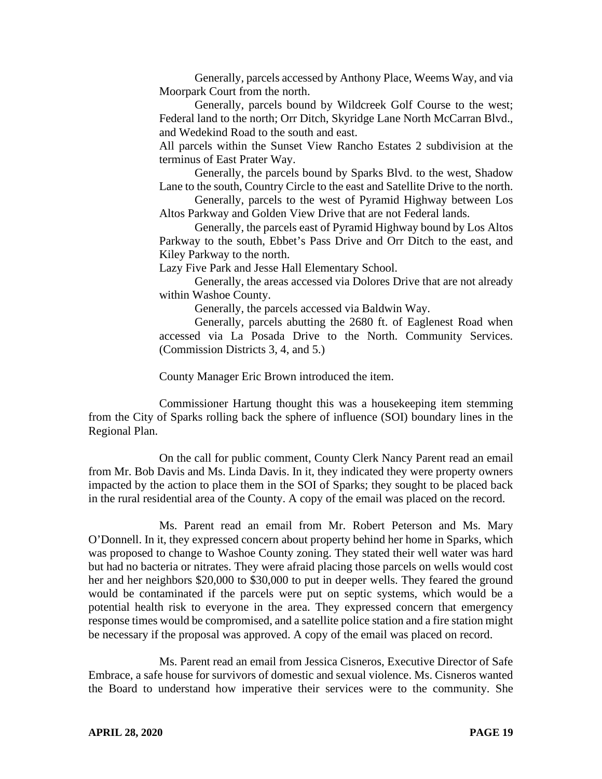Generally, parcels accessed by Anthony Place, Weems Way, and via Moorpark Court from the north.

Generally, parcels bound by Wildcreek Golf Course to the west; Federal land to the north; Orr Ditch, Skyridge Lane North McCarran Blvd., and Wedekind Road to the south and east.

All parcels within the Sunset View Rancho Estates 2 subdivision at the terminus of East Prater Way.

Generally, the parcels bound by Sparks Blvd. to the west, Shadow Lane to the south, Country Circle to the east and Satellite Drive to the north.

Generally, parcels to the west of Pyramid Highway between Los Altos Parkway and Golden View Drive that are not Federal lands.

Generally, the parcels east of Pyramid Highway bound by Los Altos Parkway to the south, Ebbet's Pass Drive and Orr Ditch to the east, and Kiley Parkway to the north.

Lazy Five Park and Jesse Hall Elementary School.

Generally, the areas accessed via Dolores Drive that are not already within Washoe County.

Generally, the parcels accessed via Baldwin Way.

Generally, parcels abutting the 2680 ft. of Eaglenest Road when accessed via La Posada Drive to the North. Community Services. (Commission Districts 3, 4, and 5.)

County Manager Eric Brown introduced the item.

Commissioner Hartung thought this was a housekeeping item stemming from the City of Sparks rolling back the sphere of influence (SOI) boundary lines in the Regional Plan.

On the call for public comment, County Clerk Nancy Parent read an email from Mr. Bob Davis and Ms. Linda Davis. In it, they indicated they were property owners impacted by the action to place them in the SOI of Sparks; they sought to be placed back in the rural residential area of the County. A copy of the email was placed on the record.

Ms. Parent read an email from Mr. Robert Peterson and Ms. Mary O'Donnell. In it, they expressed concern about property behind her home in Sparks, which was proposed to change to Washoe County zoning. They stated their well water was hard but had no bacteria or nitrates. They were afraid placing those parcels on wells would cost her and her neighbors \$20,000 to \$30,000 to put in deeper wells. They feared the ground would be contaminated if the parcels were put on septic systems, which would be a potential health risk to everyone in the area. They expressed concern that emergency response times would be compromised, and a satellite police station and a fire station might be necessary if the proposal was approved. A copy of the email was placed on record.

Ms. Parent read an email from Jessica Cisneros, Executive Director of Safe Embrace, a safe house for survivors of domestic and sexual violence. Ms. Cisneros wanted the Board to understand how imperative their services were to the community. She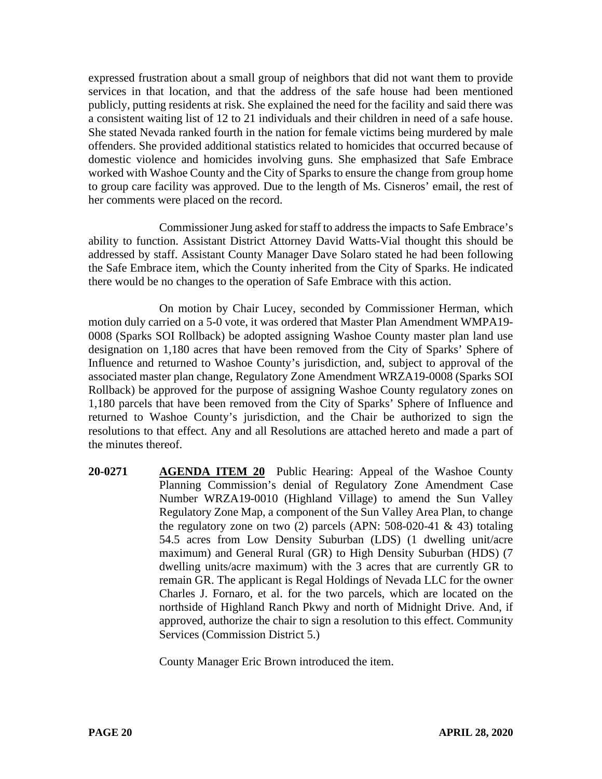expressed frustration about a small group of neighbors that did not want them to provide services in that location, and that the address of the safe house had been mentioned publicly, putting residents at risk. She explained the need for the facility and said there was a consistent waiting list of 12 to 21 individuals and their children in need of a safe house. She stated Nevada ranked fourth in the nation for female victims being murdered by male offenders. She provided additional statistics related to homicides that occurred because of domestic violence and homicides involving guns. She emphasized that Safe Embrace worked with Washoe County and the City of Sparks to ensure the change from group home to group care facility was approved. Due to the length of Ms. Cisneros' email, the rest of her comments were placed on the record.

Commissioner Jung asked for staff to address the impacts to Safe Embrace's ability to function. Assistant District Attorney David Watts-Vial thought this should be addressed by staff. Assistant County Manager Dave Solaro stated he had been following the Safe Embrace item, which the County inherited from the City of Sparks. He indicated there would be no changes to the operation of Safe Embrace with this action.

On motion by Chair Lucey, seconded by Commissioner Herman, which motion duly carried on a 5-0 vote, it was ordered that Master Plan Amendment WMPA19- 0008 (Sparks SOI Rollback) be adopted assigning Washoe County master plan land use designation on 1,180 acres that have been removed from the City of Sparks' Sphere of Influence and returned to Washoe County's jurisdiction, and, subject to approval of the associated master plan change, Regulatory Zone Amendment WRZA19-0008 (Sparks SOI Rollback) be approved for the purpose of assigning Washoe County regulatory zones on 1,180 parcels that have been removed from the City of Sparks' Sphere of Influence and returned to Washoe County's jurisdiction, and the Chair be authorized to sign the resolutions to that effect. Any and all Resolutions are attached hereto and made a part of the minutes thereof.

**20-0271 AGENDA ITEM 20** Public Hearing: Appeal of the Washoe County Planning Commission's denial of Regulatory Zone Amendment Case Number WRZA19-0010 (Highland Village) to amend the Sun Valley Regulatory Zone Map, a component of the Sun Valley Area Plan, to change the regulatory zone on two (2) parcels (APN:  $508-020-41 \& 43$ ) totaling 54.5 acres from Low Density Suburban (LDS) (1 dwelling unit/acre maximum) and General Rural (GR) to High Density Suburban (HDS) (7 dwelling units/acre maximum) with the 3 acres that are currently GR to remain GR. The applicant is Regal Holdings of Nevada LLC for the owner Charles J. Fornaro, et al. for the two parcels, which are located on the northside of Highland Ranch Pkwy and north of Midnight Drive. And, if approved, authorize the chair to sign a resolution to this effect. Community Services (Commission District 5.)

County Manager Eric Brown introduced the item.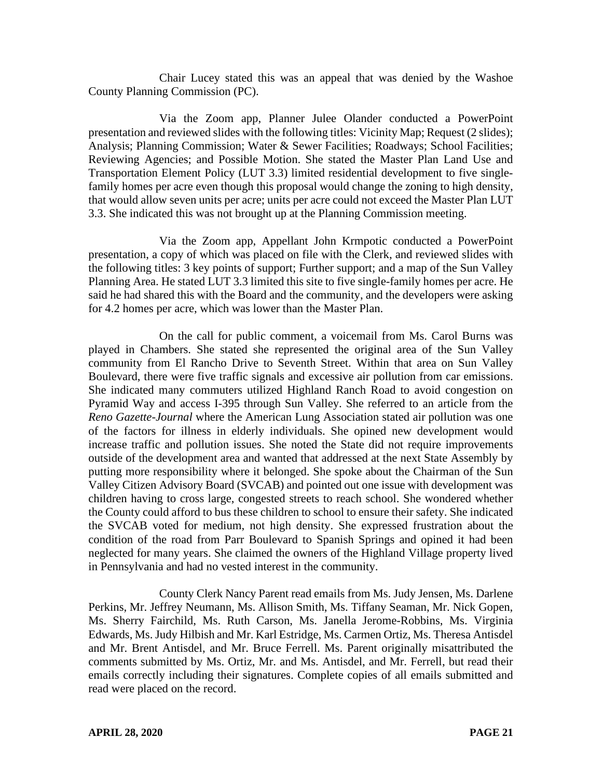Chair Lucey stated this was an appeal that was denied by the Washoe County Planning Commission (PC).

Via the Zoom app, Planner Julee Olander conducted a PowerPoint presentation and reviewed slides with the following titles: Vicinity Map; Request (2 slides); Analysis; Planning Commission; Water & Sewer Facilities; Roadways; School Facilities; Reviewing Agencies; and Possible Motion. She stated the Master Plan Land Use and Transportation Element Policy (LUT 3.3) limited residential development to five singlefamily homes per acre even though this proposal would change the zoning to high density, that would allow seven units per acre; units per acre could not exceed the Master Plan LUT 3.3. She indicated this was not brought up at the Planning Commission meeting.

Via the Zoom app, Appellant John Krmpotic conducted a PowerPoint presentation, a copy of which was placed on file with the Clerk, and reviewed slides with the following titles: 3 key points of support; Further support; and a map of the Sun Valley Planning Area. He stated LUT 3.3 limited this site to five single-family homes per acre. He said he had shared this with the Board and the community, and the developers were asking for 4.2 homes per acre, which was lower than the Master Plan.

On the call for public comment, a voicemail from Ms. Carol Burns was played in Chambers. She stated she represented the original area of the Sun Valley community from El Rancho Drive to Seventh Street. Within that area on Sun Valley Boulevard, there were five traffic signals and excessive air pollution from car emissions. She indicated many commuters utilized Highland Ranch Road to avoid congestion on Pyramid Way and access I-395 through Sun Valley. She referred to an article from the *Reno Gazette-Journal* where the American Lung Association stated air pollution was one of the factors for illness in elderly individuals. She opined new development would increase traffic and pollution issues. She noted the State did not require improvements outside of the development area and wanted that addressed at the next State Assembly by putting more responsibility where it belonged. She spoke about the Chairman of the Sun Valley Citizen Advisory Board (SVCAB) and pointed out one issue with development was children having to cross large, congested streets to reach school. She wondered whether the County could afford to bus these children to school to ensure their safety. She indicated the SVCAB voted for medium, not high density. She expressed frustration about the condition of the road from Parr Boulevard to Spanish Springs and opined it had been neglected for many years. She claimed the owners of the Highland Village property lived in Pennsylvania and had no vested interest in the community.

County Clerk Nancy Parent read emails from Ms. Judy Jensen, Ms. Darlene Perkins, Mr. Jeffrey Neumann, Ms. Allison Smith, Ms. Tiffany Seaman, Mr. Nick Gopen, Ms. Sherry Fairchild, Ms. Ruth Carson, Ms. Janella Jerome-Robbins, Ms. Virginia Edwards, Ms. Judy Hilbish and Mr. Karl Estridge, Ms. Carmen Ortiz, Ms. Theresa Antisdel and Mr. Brent Antisdel, and Mr. Bruce Ferrell. Ms. Parent originally misattributed the comments submitted by Ms. Ortiz, Mr. and Ms. Antisdel, and Mr. Ferrell, but read their emails correctly including their signatures. Complete copies of all emails submitted and read were placed on the record.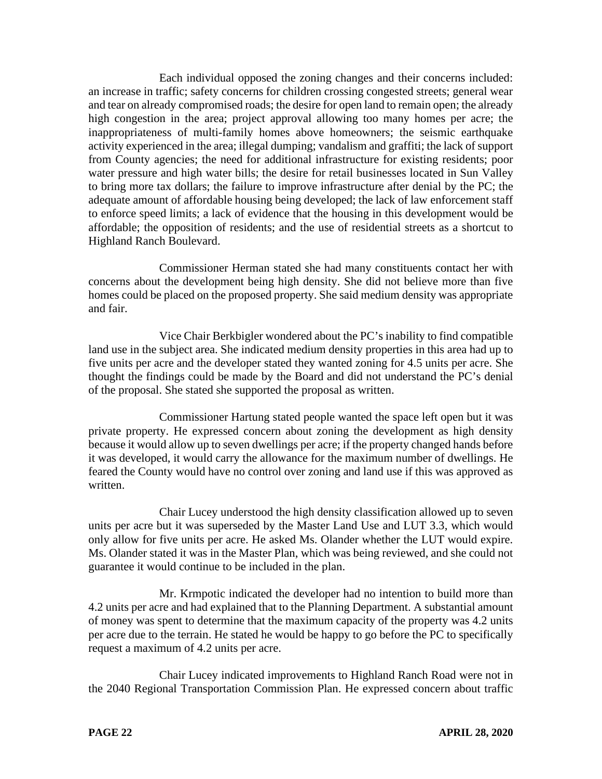Each individual opposed the zoning changes and their concerns included: an increase in traffic; safety concerns for children crossing congested streets; general wear and tear on already compromised roads; the desire for open land to remain open; the already high congestion in the area; project approval allowing too many homes per acre; the inappropriateness of multi-family homes above homeowners; the seismic earthquake activity experienced in the area; illegal dumping; vandalism and graffiti; the lack of support from County agencies; the need for additional infrastructure for existing residents; poor water pressure and high water bills; the desire for retail businesses located in Sun Valley to bring more tax dollars; the failure to improve infrastructure after denial by the PC; the adequate amount of affordable housing being developed; the lack of law enforcement staff to enforce speed limits; a lack of evidence that the housing in this development would be affordable; the opposition of residents; and the use of residential streets as a shortcut to Highland Ranch Boulevard.

Commissioner Herman stated she had many constituents contact her with concerns about the development being high density. She did not believe more than five homes could be placed on the proposed property. She said medium density was appropriate and fair.

Vice Chair Berkbigler wondered about the PC's inability to find compatible land use in the subject area. She indicated medium density properties in this area had up to five units per acre and the developer stated they wanted zoning for 4.5 units per acre. She thought the findings could be made by the Board and did not understand the PC's denial of the proposal. She stated she supported the proposal as written.

Commissioner Hartung stated people wanted the space left open but it was private property. He expressed concern about zoning the development as high density because it would allow up to seven dwellings per acre; if the property changed hands before it was developed, it would carry the allowance for the maximum number of dwellings. He feared the County would have no control over zoning and land use if this was approved as written.

Chair Lucey understood the high density classification allowed up to seven units per acre but it was superseded by the Master Land Use and LUT 3.3, which would only allow for five units per acre. He asked Ms. Olander whether the LUT would expire. Ms. Olander stated it was in the Master Plan, which was being reviewed, and she could not guarantee it would continue to be included in the plan.

Mr. Krmpotic indicated the developer had no intention to build more than 4.2 units per acre and had explained that to the Planning Department. A substantial amount of money was spent to determine that the maximum capacity of the property was 4.2 units per acre due to the terrain. He stated he would be happy to go before the PC to specifically request a maximum of 4.2 units per acre.

Chair Lucey indicated improvements to Highland Ranch Road were not in the 2040 Regional Transportation Commission Plan. He expressed concern about traffic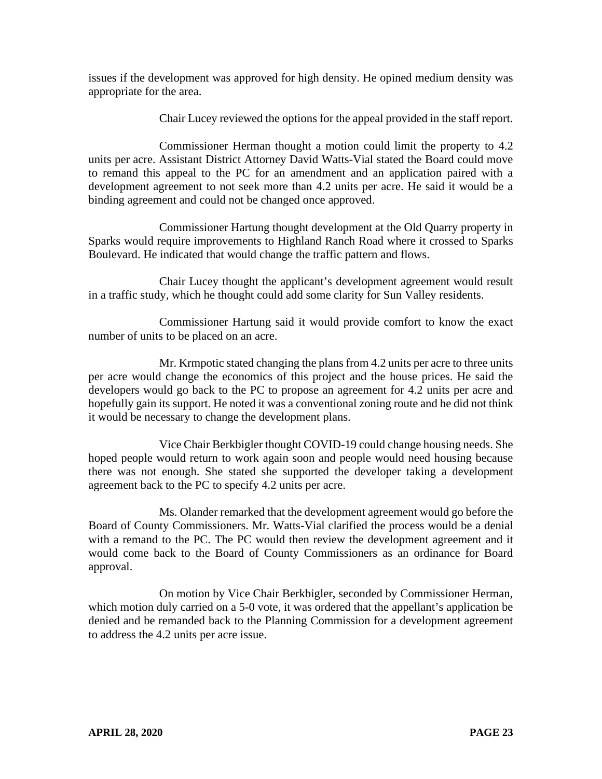issues if the development was approved for high density. He opined medium density was appropriate for the area.

Chair Lucey reviewed the options for the appeal provided in the staff report.

Commissioner Herman thought a motion could limit the property to 4.2 units per acre. Assistant District Attorney David Watts-Vial stated the Board could move to remand this appeal to the PC for an amendment and an application paired with a development agreement to not seek more than 4.2 units per acre. He said it would be a binding agreement and could not be changed once approved.

Commissioner Hartung thought development at the Old Quarry property in Sparks would require improvements to Highland Ranch Road where it crossed to Sparks Boulevard. He indicated that would change the traffic pattern and flows.

Chair Lucey thought the applicant's development agreement would result in a traffic study, which he thought could add some clarity for Sun Valley residents.

Commissioner Hartung said it would provide comfort to know the exact number of units to be placed on an acre.

Mr. Krmpotic stated changing the plans from 4.2 units per acre to three units per acre would change the economics of this project and the house prices. He said the developers would go back to the PC to propose an agreement for 4.2 units per acre and hopefully gain its support. He noted it was a conventional zoning route and he did not think it would be necessary to change the development plans.

Vice Chair Berkbigler thought COVID-19 could change housing needs. She hoped people would return to work again soon and people would need housing because there was not enough. She stated she supported the developer taking a development agreement back to the PC to specify 4.2 units per acre.

Ms. Olander remarked that the development agreement would go before the Board of County Commissioners. Mr. Watts-Vial clarified the process would be a denial with a remand to the PC. The PC would then review the development agreement and it would come back to the Board of County Commissioners as an ordinance for Board approval.

On motion by Vice Chair Berkbigler, seconded by Commissioner Herman, which motion duly carried on a 5-0 vote, it was ordered that the appellant's application be denied and be remanded back to the Planning Commission for a development agreement to address the 4.2 units per acre issue.